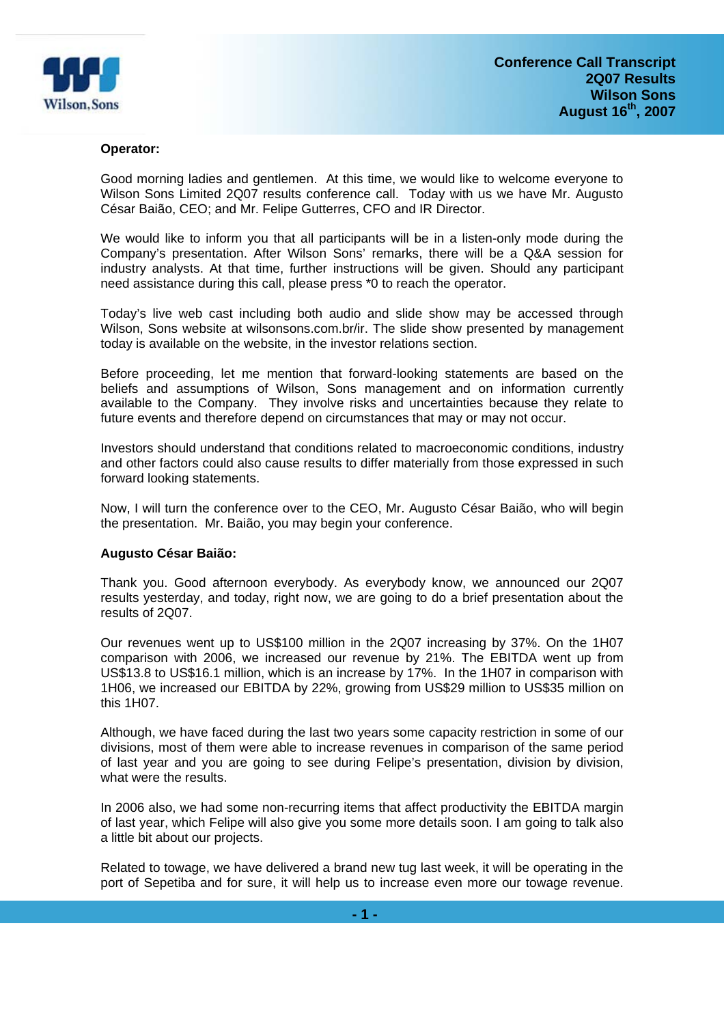

#### **Operator:**

Good morning ladies and gentlemen. At this time, we would like to welcome everyone to Wilson Sons Limited 2Q07 results conference call. Today with us we have Mr. Augusto César Baião, CEO; and Mr. Felipe Gutterres, CFO and IR Director.

We would like to inform you that all participants will be in a listen-only mode during the Company's presentation. After Wilson Sons' remarks, there will be a Q&A session for industry analysts. At that time, further instructions will be given. Should any participant need assistance during this call, please press \*0 to reach the operator.

Today's live web cast including both audio and slide show may be accessed through Wilson, Sons website at wilsonsons.com.br/ir. The slide show presented by management today is available on the website, in the investor relations section.

Before proceeding, let me mention that forward-looking statements are based on the beliefs and assumptions of Wilson, Sons management and on information currently available to the Company. They involve risks and uncertainties because they relate to future events and therefore depend on circumstances that may or may not occur.

Investors should understand that conditions related to macroeconomic conditions, industry and other factors could also cause results to differ materially from those expressed in such forward looking statements.

Now, I will turn the conference over to the CEO, Mr. Augusto César Baião, who will begin the presentation. Mr. Baião, you may begin your conference.

# **Augusto César Baião:**

Thank you. Good afternoon everybody. As everybody know, we announced our 2Q07 results yesterday, and today, right now, we are going to do a brief presentation about the results of 2Q07.

Our revenues went up to US\$100 million in the 2Q07 increasing by 37%. On the 1H07 comparison with 2006, we increased our revenue by 21%. The EBITDA went up from US\$13.8 to US\$16.1 million, which is an increase by 17%. In the 1H07 in comparison with 1H06, we increased our EBITDA by 22%, growing from US\$29 million to US\$35 million on this 1H07.

Although, we have faced during the last two years some capacity restriction in some of our divisions, most of them were able to increase revenues in comparison of the same period of last year and you are going to see during Felipe's presentation, division by division, what were the results.

In 2006 also, we had some non-recurring items that affect productivity the EBITDA margin of last year, which Felipe will also give you some more details soon. I am going to talk also a little bit about our projects.

Related to towage, we have delivered a brand new tug last week, it will be operating in the port of Sepetiba and for sure, it will help us to increase even more our towage revenue.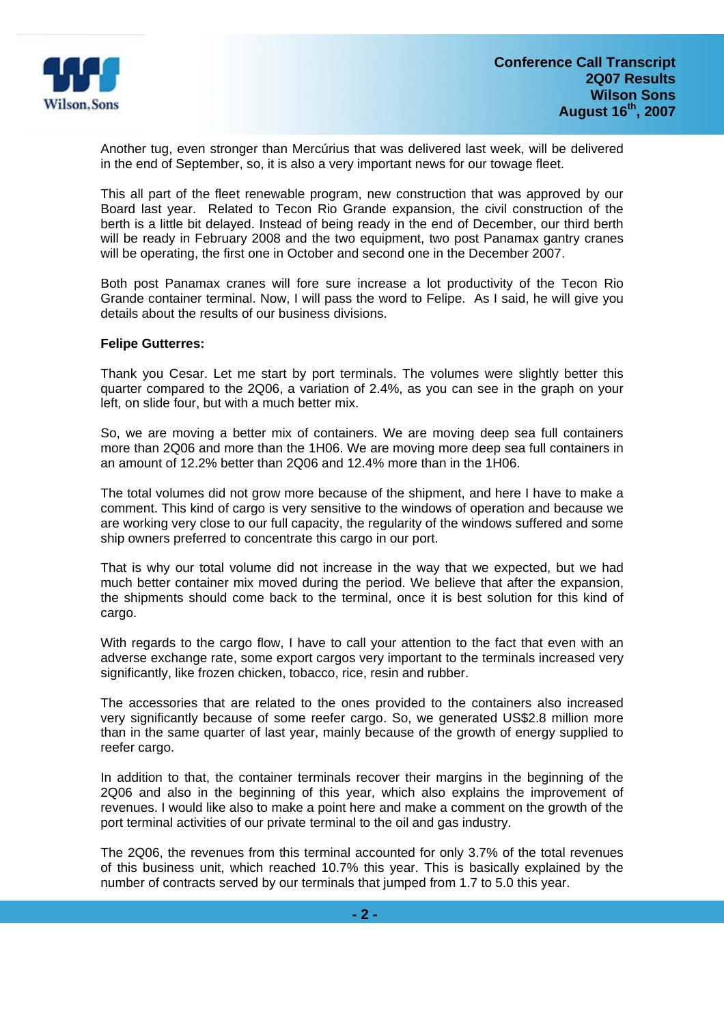

Another tug, even stronger than Mercúrius that was delivered last week, will be delivered in the end of September, so, it is also a very important news for our towage fleet.

This all part of the fleet renewable program, new construction that was approved by our Board last year. Related to Tecon Rio Grande expansion, the civil construction of the berth is a little bit delayed. Instead of being ready in the end of December, our third berth will be ready in February 2008 and the two equipment, two post Panamax gantry cranes will be operating, the first one in October and second one in the December 2007.

Both post Panamax cranes will fore sure increase a lot productivity of the Tecon Rio Grande container terminal. Now, I will pass the word to Felipe. As I said, he will give you details about the results of our business divisions.

#### **Felipe Gutterres:**

Thank you Cesar. Let me start by port terminals. The volumes were slightly better this quarter compared to the 2Q06, a variation of 2.4%, as you can see in the graph on your left, on slide four, but with a much better mix.

So, we are moving a better mix of containers. We are moving deep sea full containers more than 2Q06 and more than the 1H06. We are moving more deep sea full containers in an amount of 12.2% better than 2Q06 and 12.4% more than in the 1H06.

The total volumes did not grow more because of the shipment, and here I have to make a comment. This kind of cargo is very sensitive to the windows of operation and because we are working very close to our full capacity, the regularity of the windows suffered and some ship owners preferred to concentrate this cargo in our port.

That is why our total volume did not increase in the way that we expected, but we had much better container mix moved during the period. We believe that after the expansion, the shipments should come back to the terminal, once it is best solution for this kind of cargo.

With regards to the cargo flow, I have to call your attention to the fact that even with an adverse exchange rate, some export cargos very important to the terminals increased very significantly, like frozen chicken, tobacco, rice, resin and rubber.

The accessories that are related to the ones provided to the containers also increased very significantly because of some reefer cargo. So, we generated US\$2.8 million more than in the same quarter of last year, mainly because of the growth of energy supplied to reefer cargo.

In addition to that, the container terminals recover their margins in the beginning of the 2Q06 and also in the beginning of this year, which also explains the improvement of revenues. I would like also to make a point here and make a comment on the growth of the port terminal activities of our private terminal to the oil and gas industry.

The 2Q06, the revenues from this terminal accounted for only 3.7% of the total revenues of this business unit, which reached 10.7% this year. This is basically explained by the number of contracts served by our terminals that jumped from 1.7 to 5.0 this year.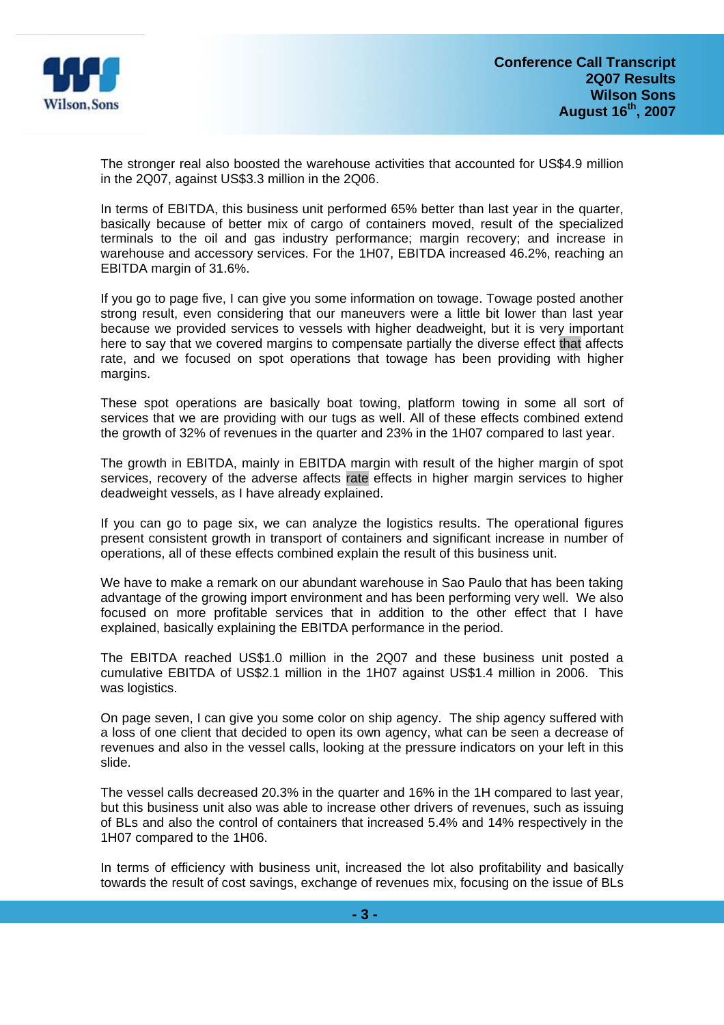

The stronger real also boosted the warehouse activities that accounted for US\$4.9 million in the 2Q07, against US\$3.3 million in the 2Q06.

In terms of EBITDA, this business unit performed 65% better than last year in the quarter, basically because of better mix of cargo of containers moved, result of the specialized terminals to the oil and gas industry performance; margin recovery; and increase in warehouse and accessory services. For the 1H07, EBITDA increased 46.2%, reaching an EBITDA margin of 31.6%.

If you go to page five, I can give you some information on towage. Towage posted another strong result, even considering that our maneuvers were a little bit lower than last year because we provided services to vessels with higher deadweight, but it is very important here to say that we covered margins to compensate partially the diverse effect that affects rate, and we focused on spot operations that towage has been providing with higher margins.

These spot operations are basically boat towing, platform towing in some all sort of services that we are providing with our tugs as well. All of these effects combined extend the growth of 32% of revenues in the quarter and 23% in the 1H07 compared to last year.

The growth in EBITDA, mainly in EBITDA margin with result of the higher margin of spot services, recovery of the adverse affects rate effects in higher margin services to higher deadweight vessels, as I have already explained.

If you can go to page six, we can analyze the logistics results. The operational figures present consistent growth in transport of containers and significant increase in number of operations, all of these effects combined explain the result of this business unit.

We have to make a remark on our abundant warehouse in Sao Paulo that has been taking advantage of the growing import environment and has been performing very well. We also focused on more profitable services that in addition to the other effect that I have explained, basically explaining the EBITDA performance in the period.

The EBITDA reached US\$1.0 million in the 2Q07 and these business unit posted a cumulative EBITDA of US\$2.1 million in the 1H07 against US\$1.4 million in 2006. This was logistics.

On page seven, I can give you some color on ship agency. The ship agency suffered with a loss of one client that decided to open its own agency, what can be seen a decrease of revenues and also in the vessel calls, looking at the pressure indicators on your left in this slide.

The vessel calls decreased 20.3% in the quarter and 16% in the 1H compared to last year, but this business unit also was able to increase other drivers of revenues, such as issuing of BLs and also the control of containers that increased 5.4% and 14% respectively in the 1H07 compared to the 1H06.

In terms of efficiency with business unit, increased the lot also profitability and basically towards the result of cost savings, exchange of revenues mix, focusing on the issue of BLs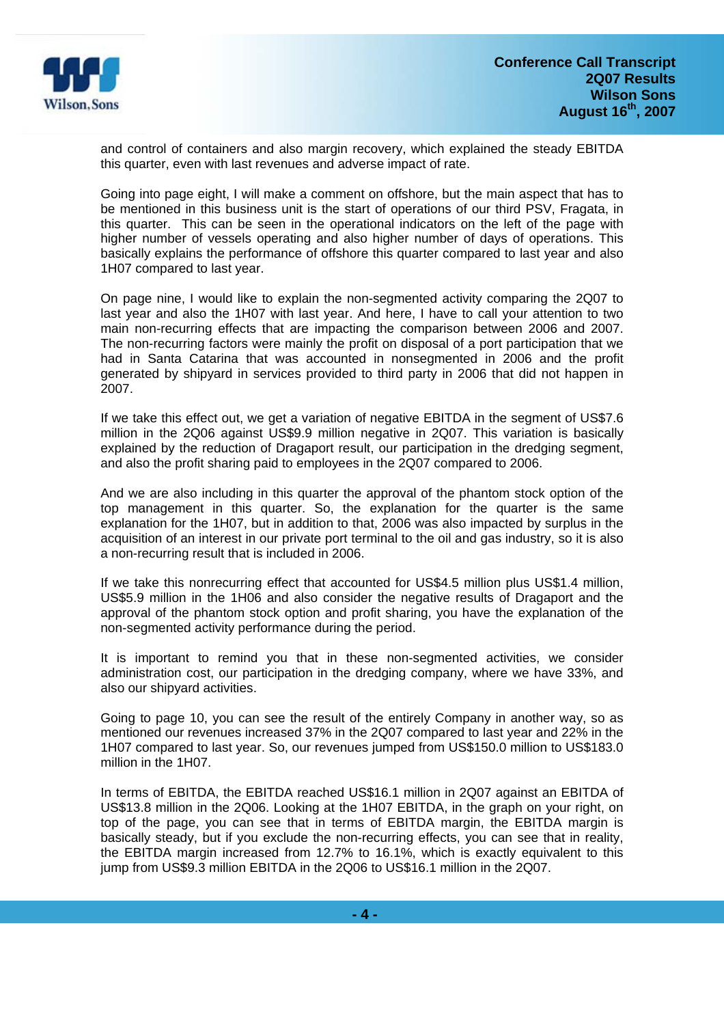

and control of containers and also margin recovery, which explained the steady EBITDA this quarter, even with last revenues and adverse impact of rate.

Going into page eight, I will make a comment on offshore, but the main aspect that has to be mentioned in this business unit is the start of operations of our third PSV, Fragata, in this quarter. This can be seen in the operational indicators on the left of the page with higher number of vessels operating and also higher number of days of operations. This basically explains the performance of offshore this quarter compared to last year and also 1H07 compared to last year.

On page nine, I would like to explain the non-segmented activity comparing the 2Q07 to last year and also the 1H07 with last year. And here, I have to call your attention to two main non-recurring effects that are impacting the comparison between 2006 and 2007. The non-recurring factors were mainly the profit on disposal of a port participation that we had in Santa Catarina that was accounted in nonsegmented in 2006 and the profit generated by shipyard in services provided to third party in 2006 that did not happen in 2007.

If we take this effect out, we get a variation of negative EBITDA in the segment of US\$7.6 million in the 2Q06 against US\$9.9 million negative in 2Q07. This variation is basically explained by the reduction of Dragaport result, our participation in the dredging segment, and also the profit sharing paid to employees in the 2Q07 compared to 2006.

And we are also including in this quarter the approval of the phantom stock option of the top management in this quarter. So, the explanation for the quarter is the same explanation for the 1H07, but in addition to that, 2006 was also impacted by surplus in the acquisition of an interest in our private port terminal to the oil and gas industry, so it is also a non-recurring result that is included in 2006.

If we take this nonrecurring effect that accounted for US\$4.5 million plus US\$1.4 million, US\$5.9 million in the 1H06 and also consider the negative results of Dragaport and the approval of the phantom stock option and profit sharing, you have the explanation of the non-segmented activity performance during the period.

It is important to remind you that in these non-segmented activities, we consider administration cost, our participation in the dredging company, where we have 33%, and also our shipyard activities.

Going to page 10, you can see the result of the entirely Company in another way, so as mentioned our revenues increased 37% in the 2Q07 compared to last year and 22% in the 1H07 compared to last year. So, our revenues jumped from US\$150.0 million to US\$183.0 million in the 1H07.

In terms of EBITDA, the EBITDA reached US\$16.1 million in 2Q07 against an EBITDA of US\$13.8 million in the 2Q06. Looking at the 1H07 EBITDA, in the graph on your right, on top of the page, you can see that in terms of EBITDA margin, the EBITDA margin is basically steady, but if you exclude the non-recurring effects, you can see that in reality, the EBITDA margin increased from 12.7% to 16.1%, which is exactly equivalent to this jump from US\$9.3 million EBITDA in the 2Q06 to US\$16.1 million in the 2Q07.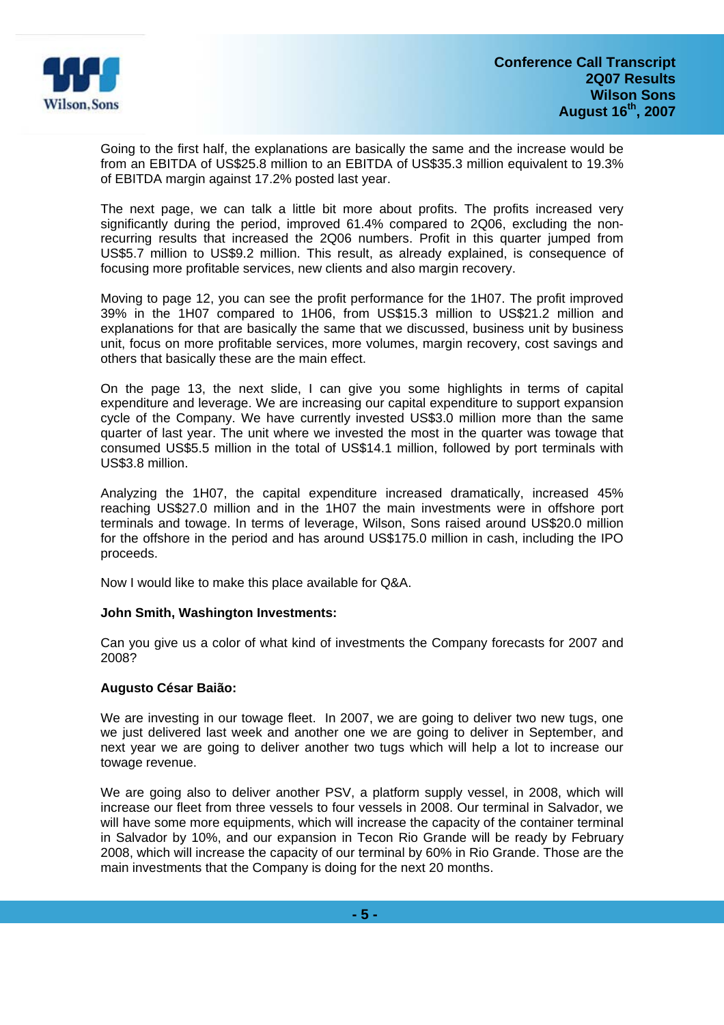

Going to the first half, the explanations are basically the same and the increase would be from an EBITDA of US\$25.8 million to an EBITDA of US\$35.3 million equivalent to 19.3% of EBITDA margin against 17.2% posted last year.

The next page, we can talk a little bit more about profits. The profits increased very significantly during the period, improved 61.4% compared to 2Q06, excluding the nonrecurring results that increased the 2Q06 numbers. Profit in this quarter jumped from US\$5.7 million to US\$9.2 million. This result, as already explained, is consequence of focusing more profitable services, new clients and also margin recovery.

Moving to page 12, you can see the profit performance for the 1H07. The profit improved 39% in the 1H07 compared to 1H06, from US\$15.3 million to US\$21.2 million and explanations for that are basically the same that we discussed, business unit by business unit, focus on more profitable services, more volumes, margin recovery, cost savings and others that basically these are the main effect.

On the page 13, the next slide, I can give you some highlights in terms of capital expenditure and leverage. We are increasing our capital expenditure to support expansion cycle of the Company. We have currently invested US\$3.0 million more than the same quarter of last year. The unit where we invested the most in the quarter was towage that consumed US\$5.5 million in the total of US\$14.1 million, followed by port terminals with US\$3.8 million.

Analyzing the 1H07, the capital expenditure increased dramatically, increased 45% reaching US\$27.0 million and in the 1H07 the main investments were in offshore port terminals and towage. In terms of leverage, Wilson, Sons raised around US\$20.0 million for the offshore in the period and has around US\$175.0 million in cash, including the IPO proceeds.

Now I would like to make this place available for Q&A.

# **John Smith, Washington Investments:**

Can you give us a color of what kind of investments the Company forecasts for 2007 and 2008?

# **Augusto César Baião:**

We are investing in our towage fleet. In 2007, we are going to deliver two new tugs, one we just delivered last week and another one we are going to deliver in September, and next year we are going to deliver another two tugs which will help a lot to increase our towage revenue.

We are going also to deliver another PSV, a platform supply vessel, in 2008, which will increase our fleet from three vessels to four vessels in 2008. Our terminal in Salvador, we will have some more equipments, which will increase the capacity of the container terminal in Salvador by 10%, and our expansion in Tecon Rio Grande will be ready by February 2008, which will increase the capacity of our terminal by 60% in Rio Grande. Those are the main investments that the Company is doing for the next 20 months.